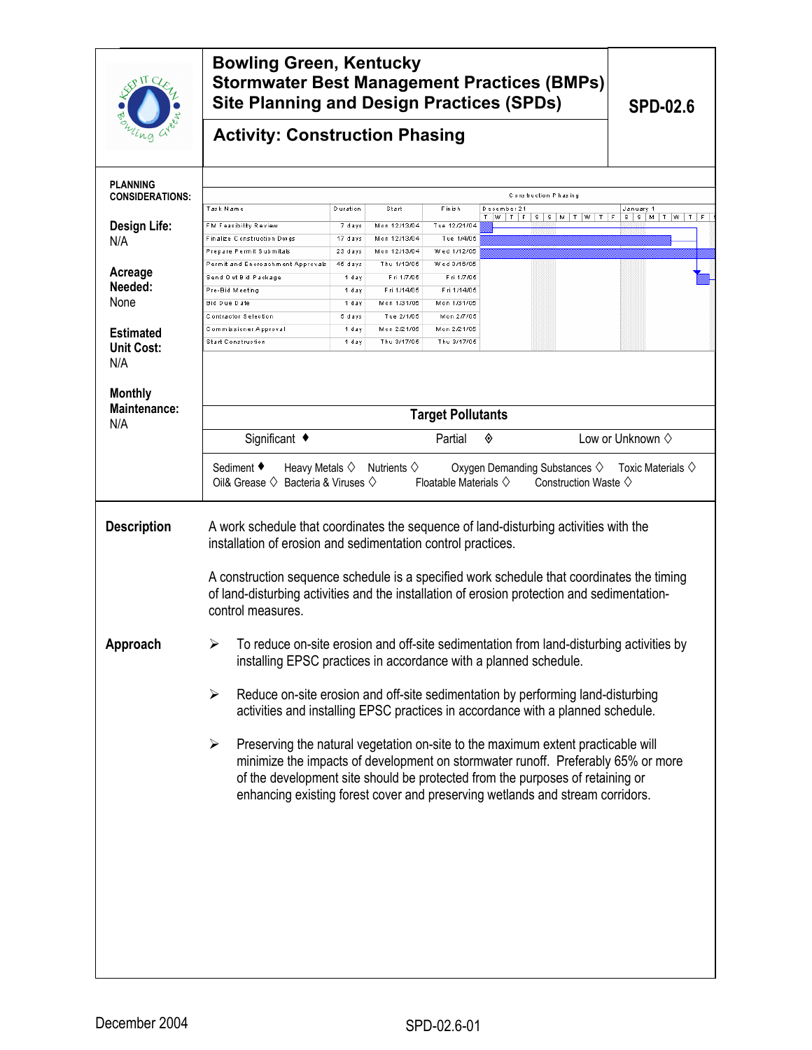| $\mathcal{S}^{\text{IT}}$                 | <b>Bowling Green, Kentucky</b><br><b>Stormwater Best Management Practices (BMPs)</b><br><b>Site Planning and Design Practices (SPDs)</b>                                                                                                                                                                                                                        | <b>SPD-02.6</b>    |                                              |                                    |             |                                                                             |                                           |  |
|-------------------------------------------|-----------------------------------------------------------------------------------------------------------------------------------------------------------------------------------------------------------------------------------------------------------------------------------------------------------------------------------------------------------------|--------------------|----------------------------------------------|------------------------------------|-------------|-----------------------------------------------------------------------------|-------------------------------------------|--|
| пa                                        | <b>Activity: Construction Phasing</b>                                                                                                                                                                                                                                                                                                                           |                    |                                              |                                    |             |                                                                             |                                           |  |
| <b>PLANNING</b><br><b>CONSIDERATIONS:</b> | Construction Phasing                                                                                                                                                                                                                                                                                                                                            |                    |                                              |                                    |             |                                                                             |                                           |  |
| Design Life:                              | Task Name<br>FM Feasibility Review                                                                                                                                                                                                                                                                                                                              | Duration<br>7 days | Start<br>Mon 12/13/04                        | Finish<br>Tue 12/21/04             | December 21 | T W T F S S M T W T F                                                       | January 1<br>$S$ $S$ $M$ $T$ $W$ $T$<br>F |  |
| N/A                                       | Finalize Construction Dwgs                                                                                                                                                                                                                                                                                                                                      | 17 days            | Mon 12/13/04                                 | Tue 1/4/05                         |             |                                                                             |                                           |  |
|                                           | Prepare Permit Submitals<br>Permit and Encroachment Approvals                                                                                                                                                                                                                                                                                                   | 23 days<br>45 days | Mon 12/13/04<br>Thu 1/13/05                  | Wed 1/12/05<br>Wed 3/16/05         |             |                                                                             |                                           |  |
| Acreage                                   | Send Out Bid Package                                                                                                                                                                                                                                                                                                                                            | 1 day              | Fri 1/7/05                                   | Fri 1/7/05                         |             |                                                                             |                                           |  |
| Needed:                                   | Pre-Bid Meeting                                                                                                                                                                                                                                                                                                                                                 | 1 day              | Fri 1/14/05                                  | Fri 1/14/05                        |             |                                                                             |                                           |  |
| None                                      | <b>Bid Due Date</b><br>Contractor Selection                                                                                                                                                                                                                                                                                                                     | 1 day<br>5 days    | Mon 1/31/05<br>Tue 2/1/05                    | Mon 1/31/05<br>Mon 2/7/05          |             |                                                                             |                                           |  |
| <b>Estimated</b>                          | Commissioner Approval                                                                                                                                                                                                                                                                                                                                           | 1 day              | Mon 2/21/05                                  | Mon 2/21/05                        |             |                                                                             |                                           |  |
| <b>Unit Cost:</b>                         | <b>Start Construction</b>                                                                                                                                                                                                                                                                                                                                       | 1 day              | Thu 3/17/05                                  | Thu 3/17/05                        |             |                                                                             |                                           |  |
| N/A                                       |                                                                                                                                                                                                                                                                                                                                                                 |                    |                                              |                                    |             |                                                                             |                                           |  |
| <b>Monthly</b>                            |                                                                                                                                                                                                                                                                                                                                                                 |                    |                                              |                                    |             |                                                                             |                                           |  |
| Maintenance:                              | <b>Target Pollutants</b>                                                                                                                                                                                                                                                                                                                                        |                    |                                              |                                    |             |                                                                             |                                           |  |
| N/A                                       | Significant ◆                                                                                                                                                                                                                                                                                                                                                   |                    |                                              | Partial                            | ◈           |                                                                             | Low or Unknown $\diamond$                 |  |
|                                           | Sediment ♦<br>Oil& Grease $\diamondsuit$ Bacteria & Viruses $\diamondsuit$                                                                                                                                                                                                                                                                                      |                    | Heavy Metals $\diamond$ Nutrients $\diamond$ | Floatable Materials $\diamondsuit$ |             | Oxygen Demanding Substances $\diamondsuit$<br>Construction Waste $\diamond$ | Toxic Materials $\diamondsuit$            |  |
| <b>Description</b>                        | A work schedule that coordinates the sequence of land-disturbing activities with the<br>installation of erosion and sedimentation control practices.                                                                                                                                                                                                            |                    |                                              |                                    |             |                                                                             |                                           |  |
|                                           | A construction sequence schedule is a specified work schedule that coordinates the timing<br>of land-disturbing activities and the installation of erosion protection and sedimentation-<br>control measures.                                                                                                                                                   |                    |                                              |                                    |             |                                                                             |                                           |  |
| Approach                                  | To reduce on-site erosion and off-site sedimentation from land-disturbing activities by<br>installing EPSC practices in accordance with a planned schedule.                                                                                                                                                                                                     |                    |                                              |                                    |             |                                                                             |                                           |  |
|                                           | Reduce on-site erosion and off-site sedimentation by performing land-disturbing<br>➤<br>activities and installing EPSC practices in accordance with a planned schedule.                                                                                                                                                                                         |                    |                                              |                                    |             |                                                                             |                                           |  |
|                                           | Preserving the natural vegetation on-site to the maximum extent practicable will<br>$\blacktriangleright$<br>minimize the impacts of development on stormwater runoff. Preferably 65% or more<br>of the development site should be protected from the purposes of retaining or<br>enhancing existing forest cover and preserving wetlands and stream corridors. |                    |                                              |                                    |             |                                                                             |                                           |  |
|                                           |                                                                                                                                                                                                                                                                                                                                                                 |                    |                                              |                                    |             |                                                                             |                                           |  |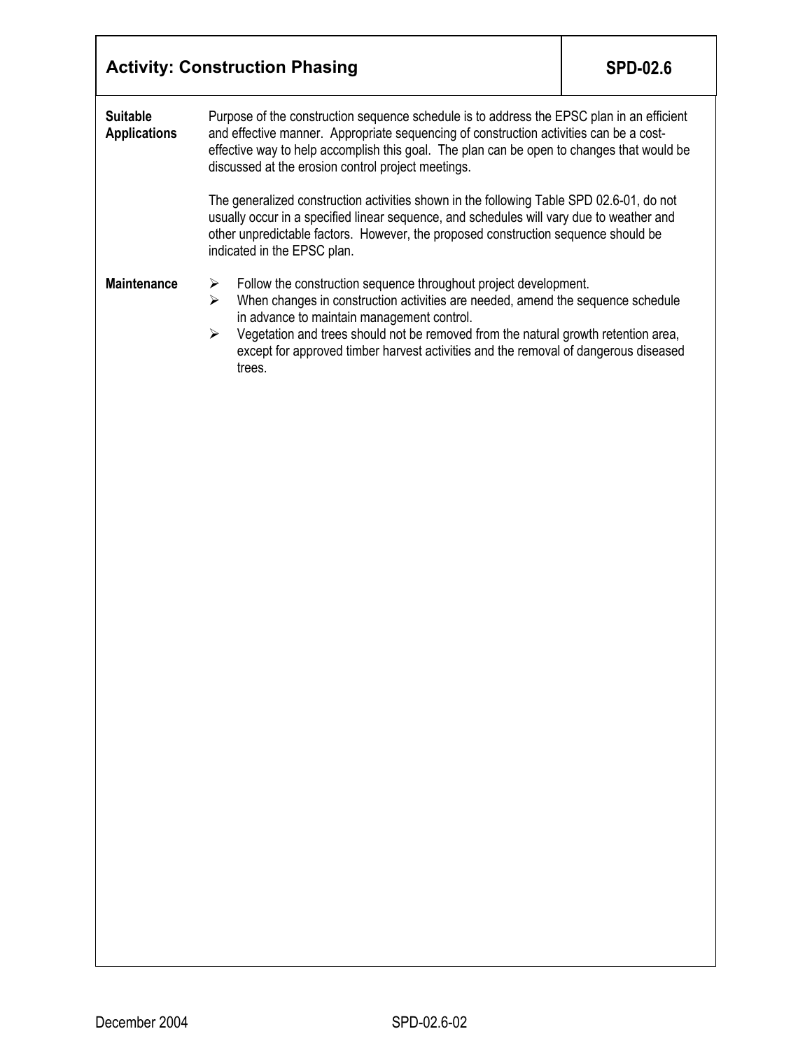|                                                                                                                                                                                                                                                                                                                                                                                                                                                                                                                                                                                                                                                                                               | <b>Activity: Construction Phasing</b> | <b>SPD-02.6</b> |  |  |
|-----------------------------------------------------------------------------------------------------------------------------------------------------------------------------------------------------------------------------------------------------------------------------------------------------------------------------------------------------------------------------------------------------------------------------------------------------------------------------------------------------------------------------------------------------------------------------------------------------------------------------------------------------------------------------------------------|---------------------------------------|-----------------|--|--|
| <b>Suitable</b><br>Purpose of the construction sequence schedule is to address the EPSC plan in an efficient<br>and effective manner. Appropriate sequencing of construction activities can be a cost-<br><b>Applications</b><br>effective way to help accomplish this goal. The plan can be open to changes that would be<br>discussed at the erosion control project meetings.<br>The generalized construction activities shown in the following Table SPD 02.6-01, do not<br>usually occur in a specified linear sequence, and schedules will vary due to weather and<br>other unpredictable factors. However, the proposed construction sequence should be<br>indicated in the EPSC plan. |                                       |                 |  |  |
|                                                                                                                                                                                                                                                                                                                                                                                                                                                                                                                                                                                                                                                                                               |                                       |                 |  |  |
|                                                                                                                                                                                                                                                                                                                                                                                                                                                                                                                                                                                                                                                                                               |                                       |                 |  |  |
|                                                                                                                                                                                                                                                                                                                                                                                                                                                                                                                                                                                                                                                                                               |                                       |                 |  |  |
|                                                                                                                                                                                                                                                                                                                                                                                                                                                                                                                                                                                                                                                                                               |                                       |                 |  |  |
|                                                                                                                                                                                                                                                                                                                                                                                                                                                                                                                                                                                                                                                                                               |                                       |                 |  |  |
|                                                                                                                                                                                                                                                                                                                                                                                                                                                                                                                                                                                                                                                                                               |                                       |                 |  |  |
|                                                                                                                                                                                                                                                                                                                                                                                                                                                                                                                                                                                                                                                                                               |                                       |                 |  |  |
|                                                                                                                                                                                                                                                                                                                                                                                                                                                                                                                                                                                                                                                                                               |                                       |                 |  |  |
|                                                                                                                                                                                                                                                                                                                                                                                                                                                                                                                                                                                                                                                                                               |                                       |                 |  |  |